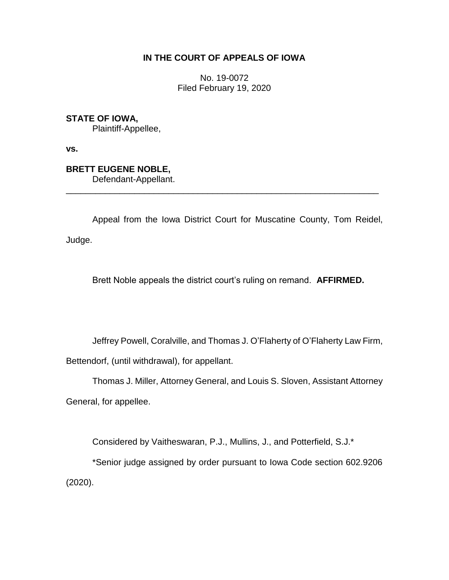## **IN THE COURT OF APPEALS OF IOWA**

No. 19-0072 Filed February 19, 2020

**STATE OF IOWA,**

Plaintiff-Appellee,

**vs.**

## **BRETT EUGENE NOBLE,**

Defendant-Appellant.

Appeal from the Iowa District Court for Muscatine County, Tom Reidel, Judge.

\_\_\_\_\_\_\_\_\_\_\_\_\_\_\_\_\_\_\_\_\_\_\_\_\_\_\_\_\_\_\_\_\_\_\_\_\_\_\_\_\_\_\_\_\_\_\_\_\_\_\_\_\_\_\_\_\_\_\_\_\_\_\_\_

Brett Noble appeals the district court's ruling on remand. **AFFIRMED.**

Jeffrey Powell, Coralville, and Thomas J. O'Flaherty of O'Flaherty Law Firm,

Bettendorf, (until withdrawal), for appellant.

Thomas J. Miller, Attorney General, and Louis S. Sloven, Assistant Attorney

General, for appellee.

Considered by Vaitheswaran, P.J., Mullins, J., and Potterfield, S.J.\*

\*Senior judge assigned by order pursuant to Iowa Code section 602.9206 (2020).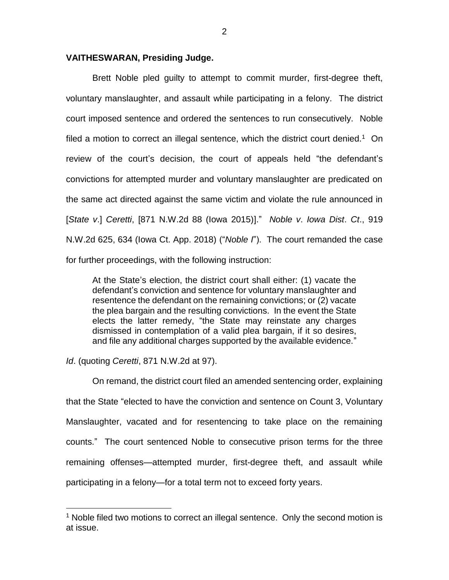## **VAITHESWARAN, Presiding Judge.**

Brett Noble pled guilty to attempt to commit murder, first-degree theft, voluntary manslaughter, and assault while participating in a felony. The district court imposed sentence and ordered the sentences to run consecutively. Noble filed a motion to correct an illegal sentence, which the district court denied.<sup>1</sup> On review of the court's decision, the court of appeals held "the defendant's convictions for attempted murder and voluntary manslaughter are predicated on the same act directed against the same victim and violate the rule announced in [*State v*.] *Ceretti*, [871 N.W.2d 88 (Iowa 2015)]." *Noble v*. *Iowa Dist*. *Ct*., 919 N.W.2d 625, 634 (Iowa Ct. App. 2018) ("*Noble I*"). The court remanded the case for further proceedings, with the following instruction:

At the State's election, the district court shall either: (1) vacate the defendant's conviction and sentence for voluntary manslaughter and resentence the defendant on the remaining convictions; or (2) vacate the plea bargain and the resulting convictions. In the event the State elects the latter remedy, "the State may reinstate any charges dismissed in contemplation of a valid plea bargain, if it so desires, and file any additional charges supported by the available evidence."

*Id*. (quoting *Ceretti*, 871 N.W.2d at 97).

 $\overline{a}$ 

On remand, the district court filed an amended sentencing order, explaining that the State "elected to have the conviction and sentence on Count 3, Voluntary Manslaughter, vacated and for resentencing to take place on the remaining counts." The court sentenced Noble to consecutive prison terms for the three remaining offenses—attempted murder, first-degree theft, and assault while participating in a felony—for a total term not to exceed forty years.

<sup>&</sup>lt;sup>1</sup> Noble filed two motions to correct an illegal sentence. Only the second motion is at issue.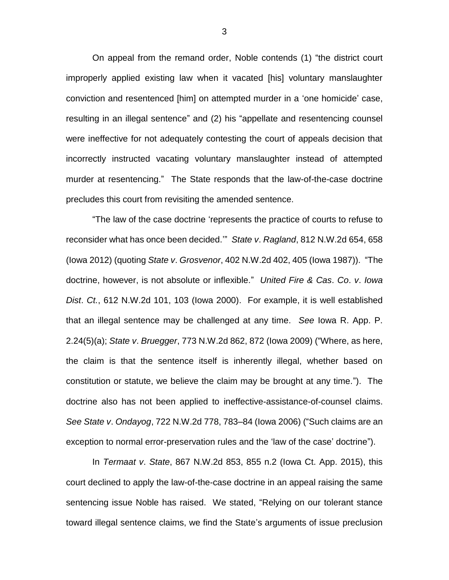On appeal from the remand order, Noble contends (1) "the district court improperly applied existing law when it vacated [his] voluntary manslaughter conviction and resentenced [him] on attempted murder in a 'one homicide' case, resulting in an illegal sentence" and (2) his "appellate and resentencing counsel were ineffective for not adequately contesting the court of appeals decision that incorrectly instructed vacating voluntary manslaughter instead of attempted murder at resentencing." The State responds that the law-of-the-case doctrine precludes this court from revisiting the amended sentence.

"The law of the case doctrine 'represents the practice of courts to refuse to reconsider what has once been decided.'" *State v*. *Ragland*, 812 N.W.2d 654, 658 (Iowa 2012) (quoting *State v*. *Grosvenor*, 402 N.W.2d 402, 405 (Iowa 1987)). "The doctrine, however, is not absolute or inflexible." *United Fire & Cas*. *Co*. *v*. *Iowa Dist*. *Ct.*, 612 N.W.2d 101, 103 (Iowa 2000). For example, it is well established that an illegal sentence may be challenged at any time. *See* Iowa R. App. P. 2.24(5)(a); *State v*. *Bruegger*, 773 N.W.2d 862, 872 (Iowa 2009) ("Where, as here, the claim is that the sentence itself is inherently illegal, whether based on constitution or statute, we believe the claim may be brought at any time."). The doctrine also has not been applied to ineffective-assistance-of-counsel claims. *See State v*. *Ondayog*, 722 N.W.2d 778, 783–84 (Iowa 2006) ("Such claims are an exception to normal error-preservation rules and the 'law of the case' doctrine").

In *Termaat v*. *State*, 867 N.W.2d 853, 855 n.2 (Iowa Ct. App. 2015), this court declined to apply the law-of-the-case doctrine in an appeal raising the same sentencing issue Noble has raised. We stated, "Relying on our tolerant stance toward illegal sentence claims, we find the State's arguments of issue preclusion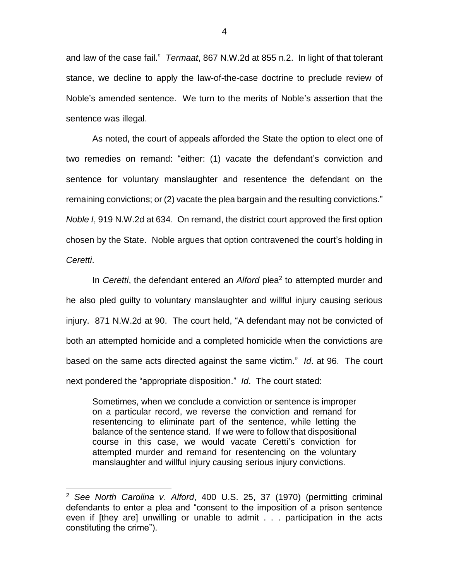and law of the case fail." *Termaat*, 867 N.W.2d at 855 n.2. In light of that tolerant stance, we decline to apply the law-of-the-case doctrine to preclude review of Noble's amended sentence. We turn to the merits of Noble's assertion that the sentence was illegal.

As noted, the court of appeals afforded the State the option to elect one of two remedies on remand: "either: (1) vacate the defendant's conviction and sentence for voluntary manslaughter and resentence the defendant on the remaining convictions; or (2) vacate the plea bargain and the resulting convictions." *Noble I*, 919 N.W.2d at 634. On remand, the district court approved the first option chosen by the State. Noble argues that option contravened the court's holding in *Ceretti*.

In *Ceretti*, the defendant entered an *Alford* plea<sup>2</sup> to attempted murder and he also pled guilty to voluntary manslaughter and willful injury causing serious injury. 871 N.W.2d at 90. The court held, "A defendant may not be convicted of both an attempted homicide and a completed homicide when the convictions are based on the same acts directed against the same victim." *Id*. at 96. The court next pondered the "appropriate disposition." *Id*. The court stated:

Sometimes, when we conclude a conviction or sentence is improper on a particular record, we reverse the conviction and remand for resentencing to eliminate part of the sentence, while letting the balance of the sentence stand. If we were to follow that dispositional course in this case, we would vacate Ceretti's conviction for attempted murder and remand for resentencing on the voluntary manslaughter and willful injury causing serious injury convictions.

 $\overline{a}$ 

<sup>2</sup> *See North Carolina v*. *Alford*, 400 U.S. 25, 37 (1970) (permitting criminal defendants to enter a plea and "consent to the imposition of a prison sentence even if [they are] unwilling or unable to admit . . . participation in the acts constituting the crime").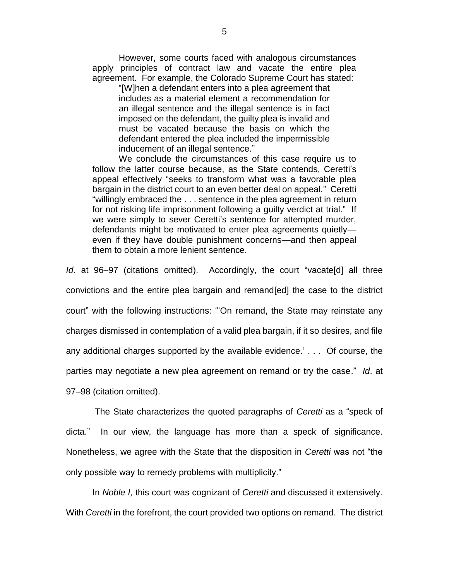However, some courts faced with analogous circumstances apply principles of contract law and vacate the entire plea agreement. For example, the Colorado Supreme Court has stated:

"[W]hen a defendant enters into a plea agreement that includes as a material element a recommendation for an illegal sentence and the illegal sentence is in fact imposed on the defendant, the guilty plea is invalid and must be vacated because the basis on which the defendant entered the plea included the impermissible inducement of an illegal sentence."

We conclude the circumstances of this case require us to follow the latter course because, as the State contends, Ceretti's appeal effectively "seeks to transform what was a favorable plea bargain in the district court to an even better deal on appeal." Ceretti "willingly embraced the . . . sentence in the plea agreement in return for not risking life imprisonment following a guilty verdict at trial." If we were simply to sever Ceretti's sentence for attempted murder, defendants might be motivated to enter plea agreements quietly even if they have double punishment concerns—and then appeal them to obtain a more lenient sentence.

*Id*. at 96–97 (citations omitted). Accordingly, the court "vacate[d] all three convictions and the entire plea bargain and remand[ed] the case to the district court" with the following instructions: "'On remand, the State may reinstate any charges dismissed in contemplation of a valid plea bargain, if it so desires, and file any additional charges supported by the available evidence.' . . . Of course, the parties may negotiate a new plea agreement on remand or try the case." *Id*. at 97–98 (citation omitted).

The State characterizes the quoted paragraphs of *Ceretti* as a "speck of dicta." In our view, the language has more than a speck of significance. Nonetheless, we agree with the State that the disposition in *Ceretti* was not "the only possible way to remedy problems with multiplicity."

In *Noble I,* this court was cognizant of *Ceretti* and discussed it extensively. With *Ceretti* in the forefront, the court provided two options on remand. The district